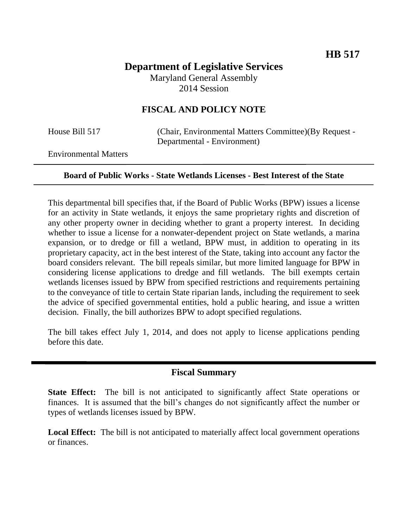# **Department of Legislative Services** Maryland General Assembly 2014 Session

## **FISCAL AND POLICY NOTE**

House Bill 517 (Chair, Environmental Matters Committee)(By Request - Departmental - Environment)

Environmental Matters

#### **Board of Public Works - State Wetlands Licenses - Best Interest of the State**

This departmental bill specifies that, if the Board of Public Works (BPW) issues a license for an activity in State wetlands, it enjoys the same proprietary rights and discretion of any other property owner in deciding whether to grant a property interest. In deciding whether to issue a license for a nonwater-dependent project on State wetlands, a marina expansion, or to dredge or fill a wetland, BPW must, in addition to operating in its proprietary capacity, act in the best interest of the State, taking into account any factor the board considers relevant. The bill repeals similar, but more limited language for BPW in considering license applications to dredge and fill wetlands. The bill exempts certain wetlands licenses issued by BPW from specified restrictions and requirements pertaining to the conveyance of title to certain State riparian lands, including the requirement to seek the advice of specified governmental entities, hold a public hearing, and issue a written decision. Finally, the bill authorizes BPW to adopt specified regulations.

The bill takes effect July 1, 2014, and does not apply to license applications pending before this date.

### **Fiscal Summary**

**State Effect:** The bill is not anticipated to significantly affect State operations or finances. It is assumed that the bill's changes do not significantly affect the number or types of wetlands licenses issued by BPW.

**Local Effect:** The bill is not anticipated to materially affect local government operations or finances.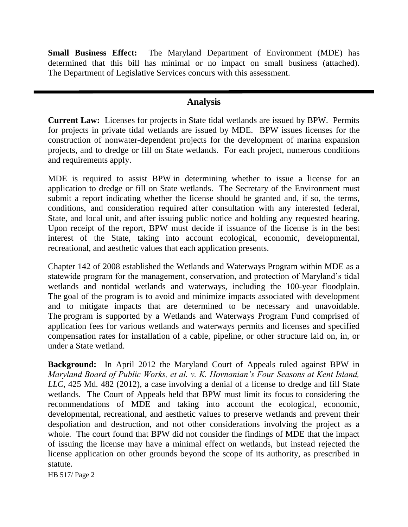**Small Business Effect:** The Maryland Department of Environment (MDE) has determined that this bill has minimal or no impact on small business (attached). The Department of Legislative Services concurs with this assessment.

# **Analysis**

**Current Law:** Licenses for projects in State tidal wetlands are issued by BPW. Permits for projects in private tidal wetlands are issued by MDE. BPW issues licenses for the construction of nonwater-dependent projects for the development of marina expansion projects, and to dredge or fill on State wetlands. For each project, numerous conditions and requirements apply.

MDE is required to assist BPW in determining whether to issue a license for an application to dredge or fill on State wetlands. The Secretary of the Environment must submit a report indicating whether the license should be granted and, if so, the terms, conditions, and consideration required after consultation with any interested federal, State, and local unit, and after issuing public notice and holding any requested hearing. Upon receipt of the report, BPW must decide if issuance of the license is in the best interest of the State, taking into account ecological, economic, developmental, recreational, and aesthetic values that each application presents.

Chapter 142 of 2008 established the Wetlands and Waterways Program within MDE as a statewide program for the management, conservation, and protection of Maryland's tidal wetlands and nontidal wetlands and waterways, including the 100-year floodplain. The goal of the program is to avoid and minimize impacts associated with development and to mitigate impacts that are determined to be necessary and unavoidable. The program is supported by a Wetlands and Waterways Program Fund comprised of application fees for various wetlands and waterways permits and licenses and specified compensation rates for installation of a cable, pipeline, or other structure laid on, in, or under a State wetland.

**Background:** In April 2012 the Maryland Court of Appeals ruled against BPW in *Maryland Board of Public Works, et al. v. K. Hovnanian's Four Seasons at Kent Island, LLC*, 425 Md. 482 (2012), a case involving a denial of a license to dredge and fill State wetlands. The Court of Appeals held that BPW must limit its focus to considering the recommendations of MDE and taking into account the ecological, economic, developmental, recreational, and aesthetic values to preserve wetlands and prevent their despoliation and destruction, and not other considerations involving the project as a whole. The court found that BPW did not consider the findings of MDE that the impact of issuing the license may have a minimal effect on wetlands, but instead rejected the license application on other grounds beyond the scope of its authority, as prescribed in statute.

HB 517/ Page 2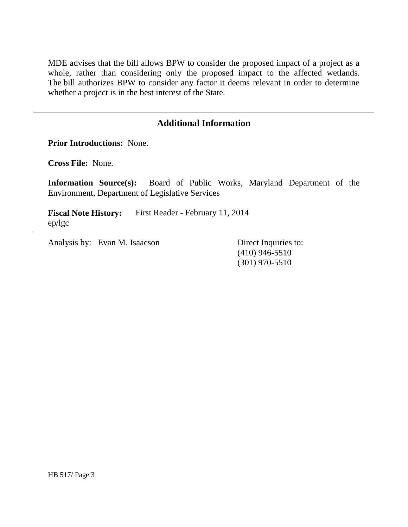MDE advises that the bill allows BPW to consider the proposed impact of a project as a whole, rather than considering only the proposed impact to the affected wetlands. The bill authorizes BPW to consider any factor it deems relevant in order to determine whether a project is in the best interest of the State.

## **Additional Information**

**Prior Introductions:** None.

**Cross File:** None.

**Information Source(s):** Board of Public Works, Maryland Department of the Environment, Department of Legislative Services

**Fiscal Note History:** First Reader - February 11, 2014 ep/lgc

Analysis by: Evan M. Isaacson Direct Inquiries to:

(410) 946-5510 (301) 970-5510